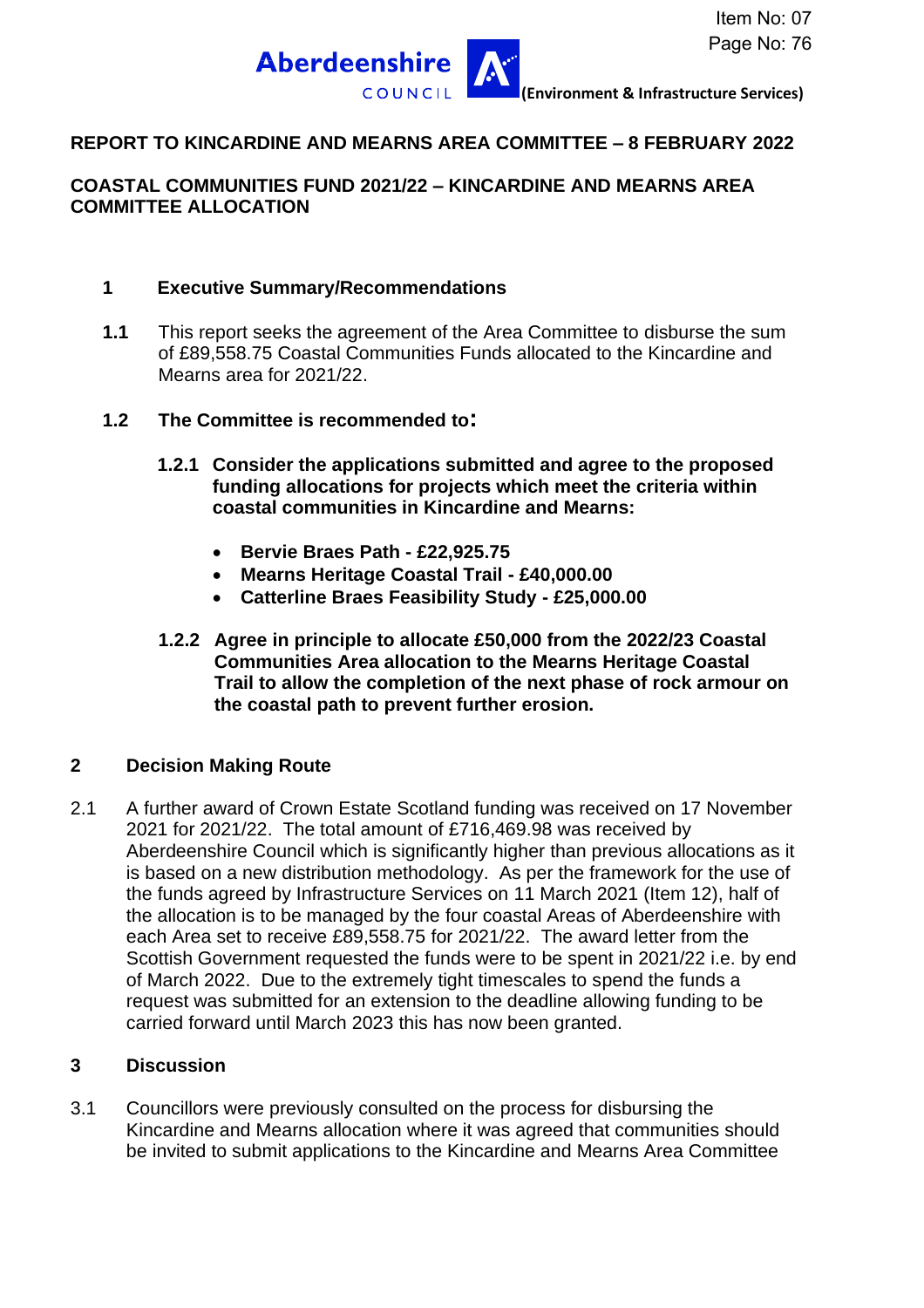

### **REPORT TO KINCARDINE AND MEARNS AREA COMMITTEE – 8 FEBRUARY 2022**

#### **COASTAL COMMUNITIES FUND 2021/22 – KINCARDINE AND MEARNS AREA COMMITTEE ALLOCATION**

#### **1 Executive Summary/Recommendations**

- **1.1** This report seeks the agreement of the Area Committee to disburse the sum of £89,558.75 Coastal Communities Funds allocated to the Kincardine and Mearns area for 2021/22.
- **1.2 The Committee is recommended to:**
	- **1.2.1 Consider the applications submitted and agree to the proposed funding allocations for projects which meet the criteria within coastal communities in Kincardine and Mearns:**
		- **Bervie Braes Path - £22,925.75**
		- **Mearns Heritage Coastal Trail - £40,000.00**
		- **Catterline Braes Feasibility Study - £25,000.00**
	- **1.2.2 Agree in principle to allocate £50,000 from the 2022/23 Coastal Communities Area allocation to the Mearns Heritage Coastal Trail to allow the completion of the next phase of rock armour on the coastal path to prevent further erosion.**

#### **2 Decision Making Route**

2.1 A further award of Crown Estate Scotland funding was received on 17 November 2021 for 2021/22. The total amount of £716,469.98 was received by Aberdeenshire Council which is significantly higher than previous allocations as it is based on a new distribution methodology. As per the framework for the use of the funds agreed by Infrastructure Services on 11 March 2021 (Item 12), half of the allocation is to be managed by the four coastal Areas of Aberdeenshire with each Area set to receive £89,558.75 for 2021/22. The award letter from the Scottish Government requested the funds were to be spent in 2021/22 i.e. by end of March 2022. Due to the extremely tight timescales to spend the funds a request was submitted for an extension to the deadline allowing funding to be carried forward until March 2023 this has now been granted.

#### **3 Discussion**

3.1 Councillors were previously consulted on the process for disbursing the Kincardine and Mearns allocation where it was agreed that communities should be invited to submit applications to the Kincardine and Mearns Area Committee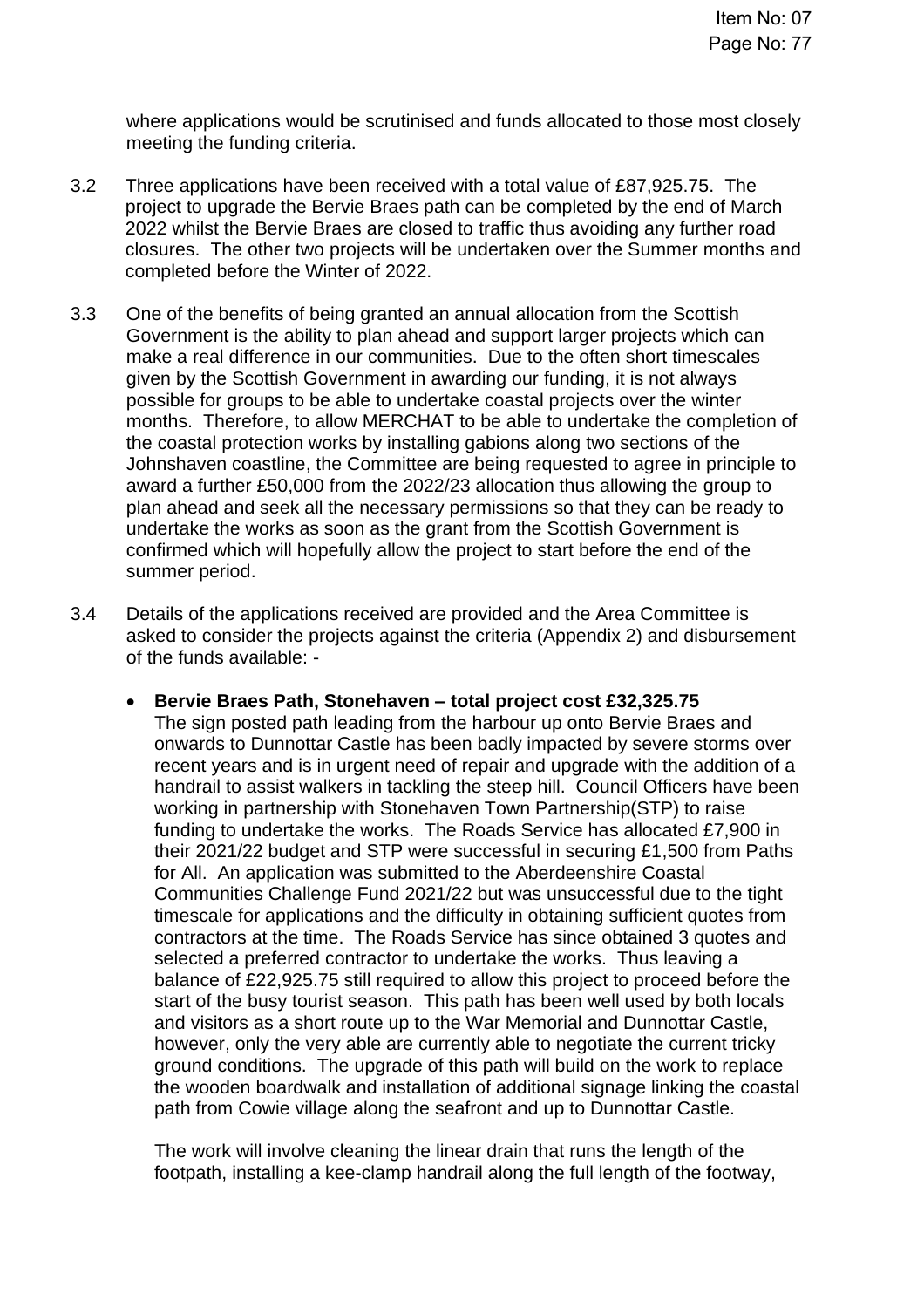where applications would be scrutinised and funds allocated to those most closely meeting the funding criteria.

- 3.2 Three applications have been received with a total value of £87,925.75. The project to upgrade the Bervie Braes path can be completed by the end of March 2022 whilst the Bervie Braes are closed to traffic thus avoiding any further road closures. The other two projects will be undertaken over the Summer months and completed before the Winter of 2022.
- 3.3 One of the benefits of being granted an annual allocation from the Scottish Government is the ability to plan ahead and support larger projects which can make a real difference in our communities. Due to the often short timescales given by the Scottish Government in awarding our funding, it is not always possible for groups to be able to undertake coastal projects over the winter months. Therefore, to allow MERCHAT to be able to undertake the completion of the coastal protection works by installing gabions along two sections of the Johnshaven coastline, the Committee are being requested to agree in principle to award a further £50,000 from the 2022/23 allocation thus allowing the group to plan ahead and seek all the necessary permissions so that they can be ready to undertake the works as soon as the grant from the Scottish Government is confirmed which will hopefully allow the project to start before the end of the summer period.
- 3.4 Details of the applications received are provided and the Area Committee is asked to consider the projects against the criteria (Appendix 2) and disbursement of the funds available: -
	- **Bervie Braes Path, Stonehaven – total project cost £32,325.75** The sign posted path leading from the harbour up onto Bervie Braes and onwards to Dunnottar Castle has been badly impacted by severe storms over recent years and is in urgent need of repair and upgrade with the addition of a handrail to assist walkers in tackling the steep hill. Council Officers have been working in partnership with Stonehaven Town Partnership(STP) to raise funding to undertake the works. The Roads Service has allocated £7,900 in their 2021/22 budget and STP were successful in securing £1,500 from Paths for All. An application was submitted to the Aberdeenshire Coastal Communities Challenge Fund 2021/22 but was unsuccessful due to the tight timescale for applications and the difficulty in obtaining sufficient quotes from contractors at the time. The Roads Service has since obtained 3 quotes and selected a preferred contractor to undertake the works. Thus leaving a balance of £22,925.75 still required to allow this project to proceed before the start of the busy tourist season. This path has been well used by both locals and visitors as a short route up to the War Memorial and Dunnottar Castle, however, only the very able are currently able to negotiate the current tricky ground conditions. The upgrade of this path will build on the work to replace the wooden boardwalk and installation of additional signage linking the coastal path from Cowie village along the seafront and up to Dunnottar Castle.

The work will involve cleaning the linear drain that runs the length of the footpath, installing a kee-clamp handrail along the full length of the footway,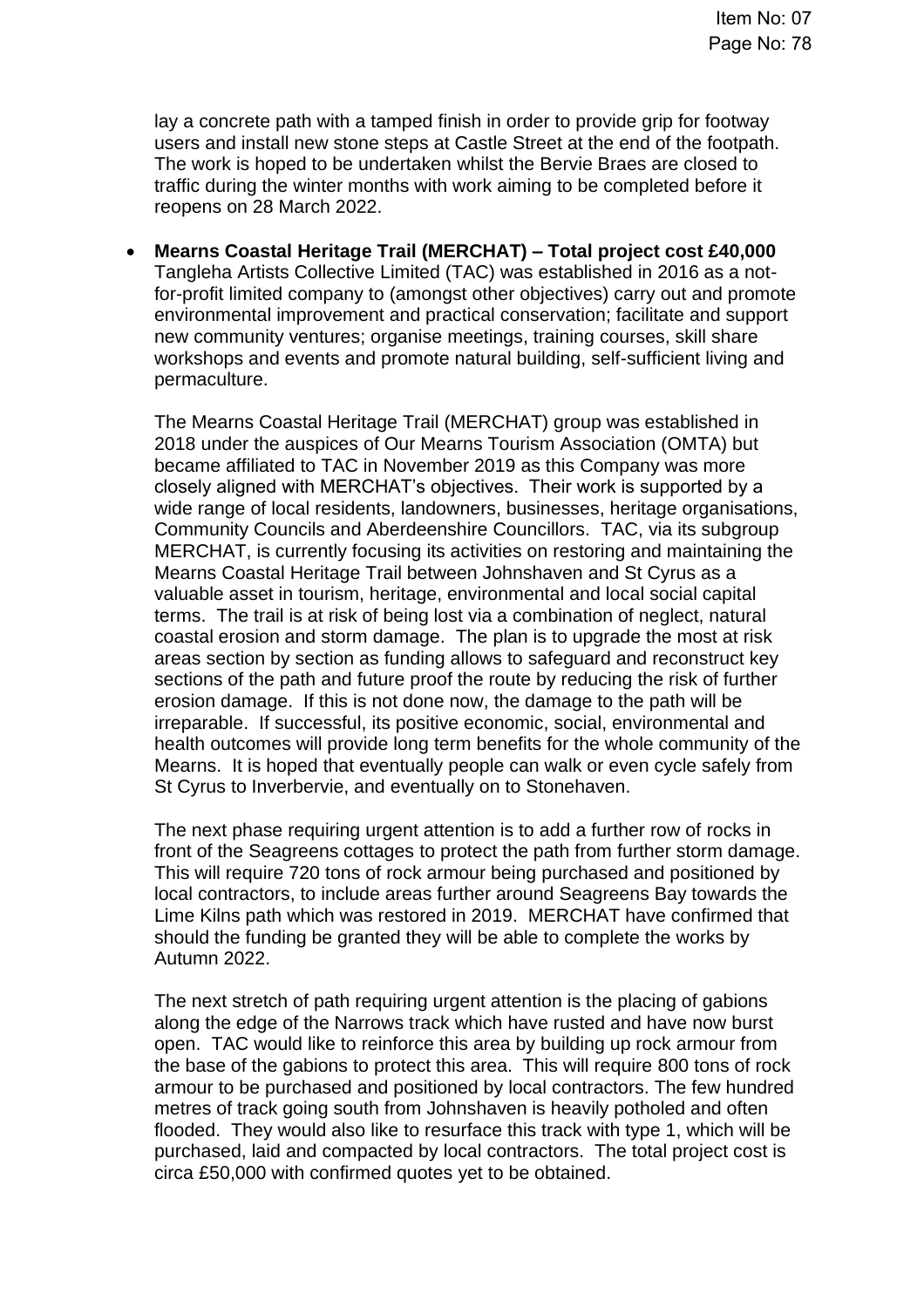lay a concrete path with a tamped finish in order to provide grip for footway users and install new stone steps at Castle Street at the end of the footpath. The work is hoped to be undertaken whilst the Bervie Braes are closed to traffic during the winter months with work aiming to be completed before it reopens on 28 March 2022.

• **Mearns Coastal Heritage Trail (MERCHAT) – Total project cost £40,000** Tangleha Artists Collective Limited (TAC) was established in 2016 as a notfor-profit limited company to (amongst other objectives) carry out and promote environmental improvement and practical conservation; facilitate and support new community ventures; organise meetings, training courses, skill share workshops and events and promote natural building, self-sufficient living and permaculture.

The Mearns Coastal Heritage Trail (MERCHAT) group was established in 2018 under the auspices of Our Mearns Tourism Association (OMTA) but became affiliated to TAC in November 2019 as this Company was more closely aligned with MERCHAT's objectives. Their work is supported by a wide range of local residents, landowners, businesses, heritage organisations, Community Councils and Aberdeenshire Councillors. TAC, via its subgroup MERCHAT, is currently focusing its activities on restoring and maintaining the Mearns Coastal Heritage Trail between Johnshaven and St Cyrus as a valuable asset in tourism, heritage, environmental and local social capital terms. The trail is at risk of being lost via a combination of neglect, natural coastal erosion and storm damage. The plan is to upgrade the most at risk areas section by section as funding allows to safeguard and reconstruct key sections of the path and future proof the route by reducing the risk of further erosion damage. If this is not done now, the damage to the path will be irreparable. If successful, its positive economic, social, environmental and health outcomes will provide long term benefits for the whole community of the Mearns. It is hoped that eventually people can walk or even cycle safely from St Cyrus to Inverbervie, and eventually on to Stonehaven.

The next phase requiring urgent attention is to add a further row of rocks in front of the Seagreens cottages to protect the path from further storm damage. This will require 720 tons of rock armour being purchased and positioned by local contractors, to include areas further around Seagreens Bay towards the Lime Kilns path which was restored in 2019. MERCHAT have confirmed that should the funding be granted they will be able to complete the works by Autumn 2022.

The next stretch of path requiring urgent attention is the placing of gabions along the edge of the Narrows track which have rusted and have now burst open. TAC would like to reinforce this area by building up rock armour from the base of the gabions to protect this area. This will require 800 tons of rock armour to be purchased and positioned by local contractors. The few hundred metres of track going south from Johnshaven is heavily potholed and often flooded. They would also like to resurface this track with type 1, which will be purchased, laid and compacted by local contractors. The total project cost is circa £50,000 with confirmed quotes yet to be obtained.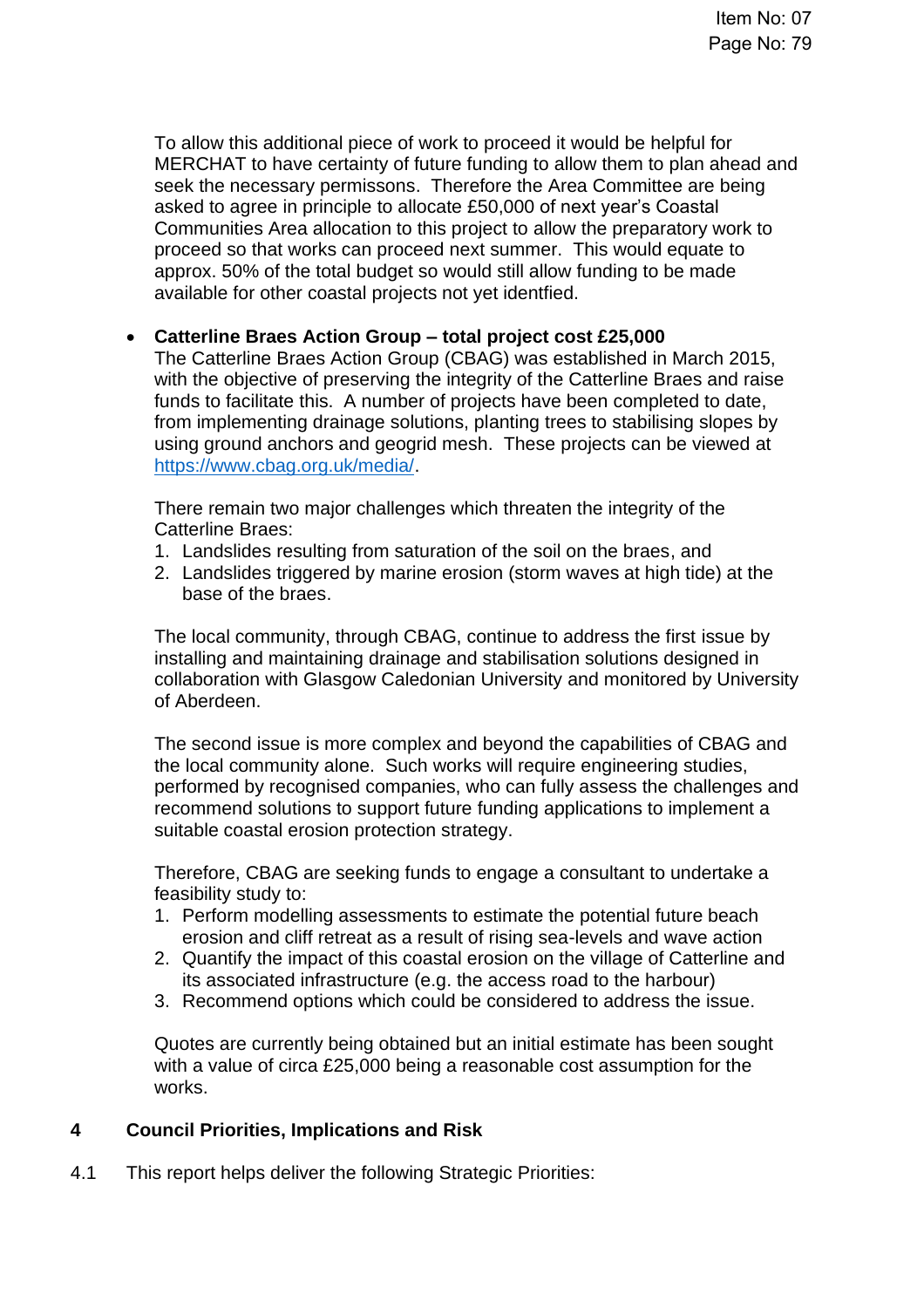To allow this additional piece of work to proceed it would be helpful for MERCHAT to have certainty of future funding to allow them to plan ahead and seek the necessary permissons. Therefore the Area Committee are being asked to agree in principle to allocate £50,000 of next year's Coastal Communities Area allocation to this project to allow the preparatory work to proceed so that works can proceed next summer. This would equate to approx. 50% of the total budget so would still allow funding to be made available for other coastal projects not yet identfied.

### • **Catterline Braes Action Group – total project cost £25,000**

The Catterline Braes Action Group (CBAG) was established in March 2015, with the objective of preserving the integrity of the Catterline Braes and raise funds to facilitate this. A number of projects have been completed to date, from implementing drainage solutions, planting trees to stabilising slopes by using ground anchors and geogrid mesh. These projects can be viewed at [https://www.cbag.org.uk/media/.](https://www.cbag.org.uk/media/)

There remain two major challenges which threaten the integrity of the Catterline Braes:

- 1. Landslides resulting from saturation of the soil on the braes, and
- 2. Landslides triggered by marine erosion (storm waves at high tide) at the base of the braes.

The local community, through CBAG, continue to address the first issue by installing and maintaining drainage and stabilisation solutions designed in collaboration with Glasgow Caledonian University and monitored by University of Aberdeen.

The second issue is more complex and beyond the capabilities of CBAG and the local community alone. Such works will require engineering studies, performed by recognised companies, who can fully assess the challenges and recommend solutions to support future funding applications to implement a suitable coastal erosion protection strategy.

Therefore, CBAG are seeking funds to engage a consultant to undertake a feasibility study to:

- 1. Perform modelling assessments to estimate the potential future beach erosion and cliff retreat as a result of rising sea-levels and wave action
- 2. Quantify the impact of this coastal erosion on the village of Catterline and its associated infrastructure (e.g. the access road to the harbour)
- 3. Recommend options which could be considered to address the issue.

Quotes are currently being obtained but an initial estimate has been sought with a value of circa £25,000 being a reasonable cost assumption for the works.

### **4 Council Priorities, Implications and Risk**

4.1 This report helps deliver the following Strategic Priorities: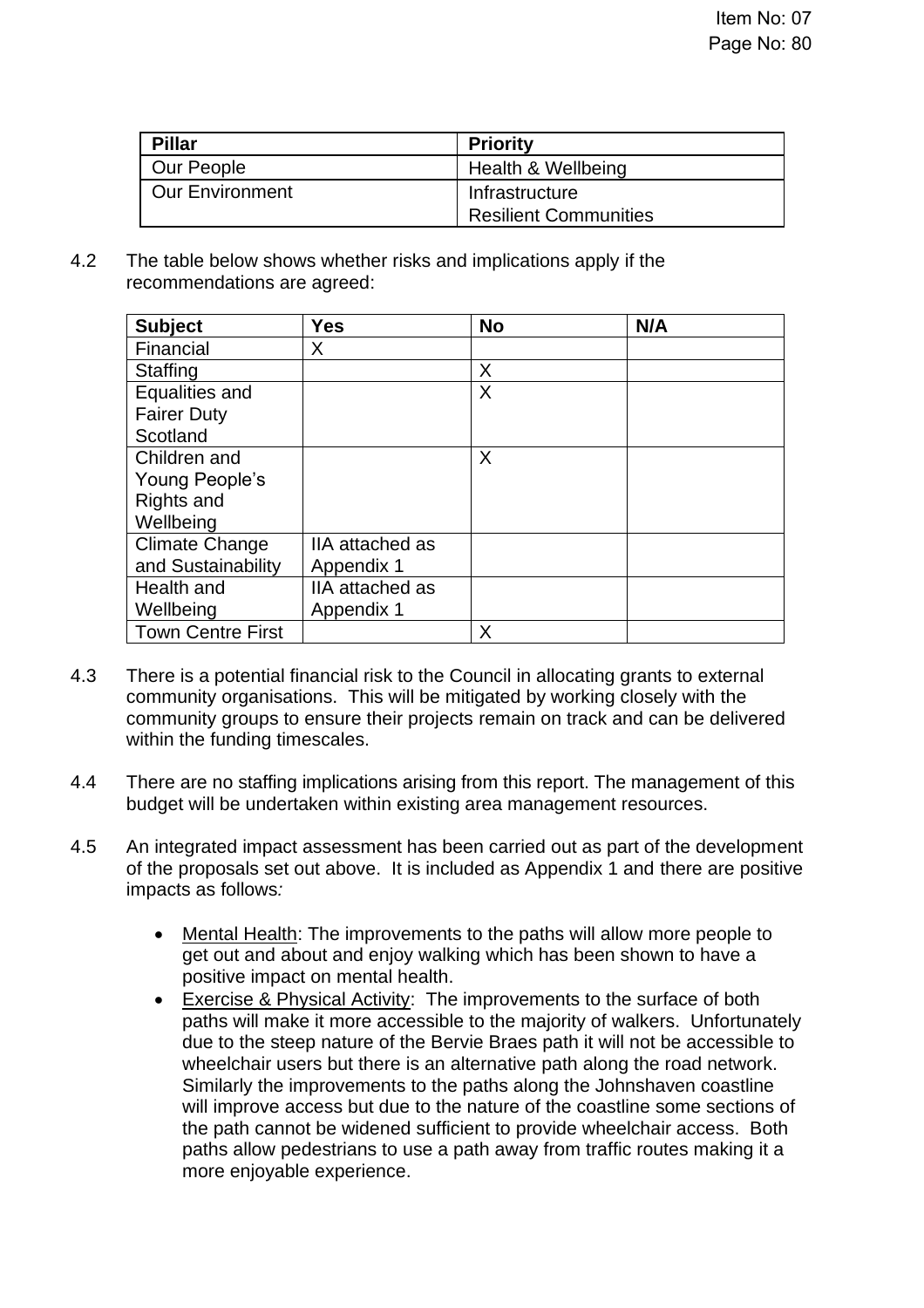| <b>Pillar</b>          | <b>Priority</b>              |
|------------------------|------------------------------|
| Our People             | Health & Wellbeing           |
| <b>Our Environment</b> | Infrastructure               |
|                        | <b>Resilient Communities</b> |

4.2 The table below shows whether risks and implications apply if the recommendations are agreed:

| <b>Subject</b>           | <b>Yes</b>      | <b>No</b> | N/A |
|--------------------------|-----------------|-----------|-----|
| Financial                | X               |           |     |
| <b>Staffing</b>          |                 | X         |     |
| Equalities and           |                 | X         |     |
| <b>Fairer Duty</b>       |                 |           |     |
| Scotland                 |                 |           |     |
| Children and             |                 | X         |     |
| Young People's           |                 |           |     |
| Rights and               |                 |           |     |
| Wellbeing                |                 |           |     |
| <b>Climate Change</b>    | IIA attached as |           |     |
| and Sustainability       | Appendix 1      |           |     |
| Health and               | IIA attached as |           |     |
| Wellbeing                | Appendix 1      |           |     |
| <b>Town Centre First</b> |                 | X         |     |

- 4.3 There is a potential financial risk to the Council in allocating grants to external community organisations. This will be mitigated by working closely with the community groups to ensure their projects remain on track and can be delivered within the funding timescales.
- 4.4 There are no staffing implications arising from this report. The management of this budget will be undertaken within existing area management resources.
- 4.5 An integrated impact assessment has been carried out as part of the development of the proposals set out above. It is included as Appendix 1 and there are positive impacts as follows*:*
	- Mental Health: The improvements to the paths will allow more people to get out and about and enjoy walking which has been shown to have a positive impact on mental health.
	- Exercise & Physical Activity: The improvements to the surface of both paths will make it more accessible to the majority of walkers. Unfortunately due to the steep nature of the Bervie Braes path it will not be accessible to wheelchair users but there is an alternative path along the road network. Similarly the improvements to the paths along the Johnshaven coastline will improve access but due to the nature of the coastline some sections of the path cannot be widened sufficient to provide wheelchair access. Both paths allow pedestrians to use a path away from traffic routes making it a more enjoyable experience.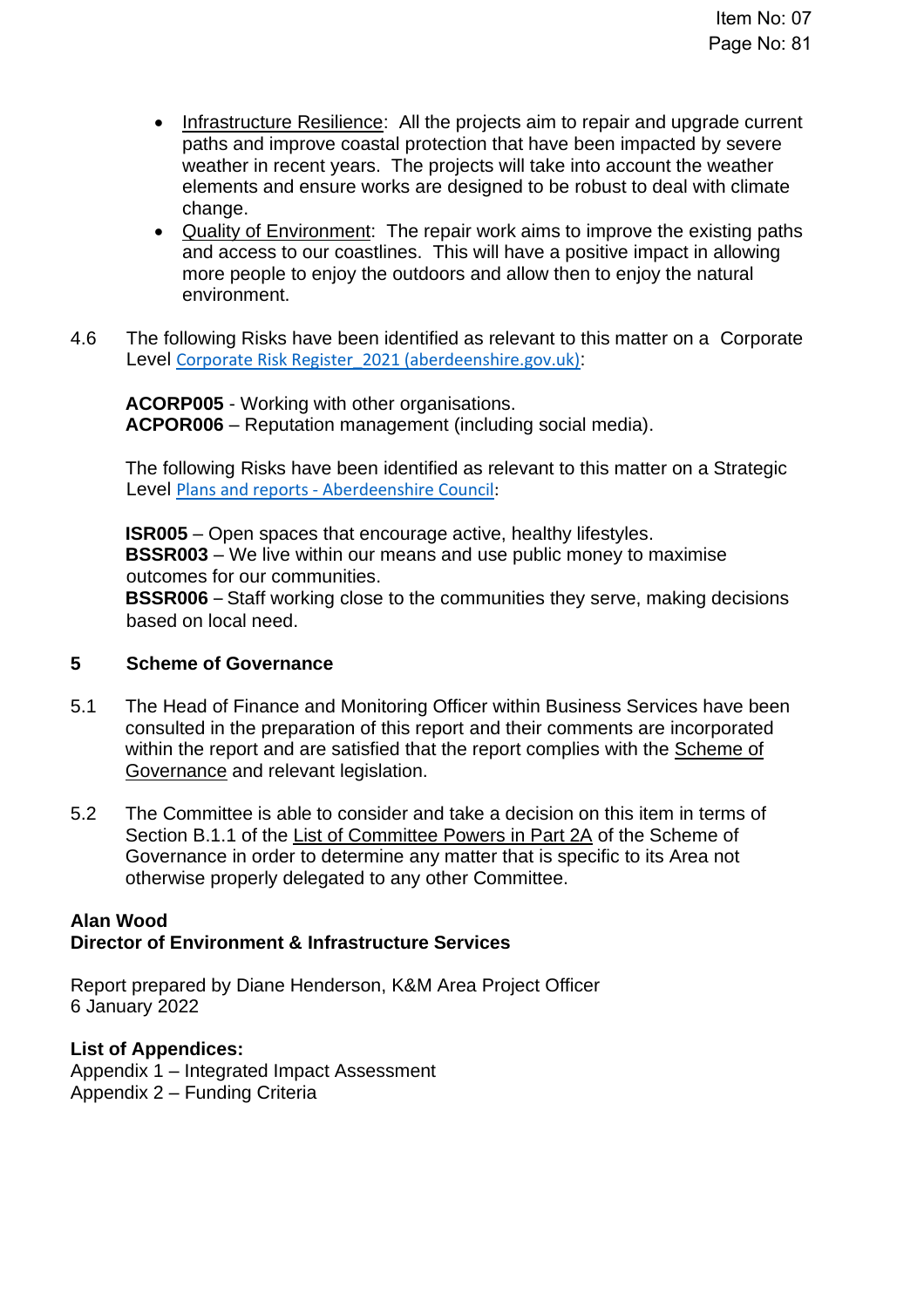- Infrastructure Resilience: All the projects aim to repair and upgrade current paths and improve coastal protection that have been impacted by severe weather in recent years. The projects will take into account the weather elements and ensure works are designed to be robust to deal with climate change.
- Quality of Environment: The repair work aims to improve the existing paths and access to our coastlines. This will have a positive impact in allowing more people to enjoy the outdoors and allow then to enjoy the natural environment.
- 4.6 The following Risks have been identified as relevant to this matter on a Corporate Level Corporate Risk Register 2021 (aberdeenshire.gov.uk):

**ACORP005** - Working with other organisations. **ACPOR006** – Reputation management (including social media).

The following Risks have been identified as relevant to this matter on a Strategic Level Plans and reports - [Aberdeenshire Council:](https://www.aberdeenshire.gov.uk/council-and-democracy/about-us/plans-and-reports/)

**ISR005** – Open spaces that encourage active, healthy lifestyles. **BSSR003** – We live within our means and use public money to maximise outcomes for our communities. **BSSR006** – Staff working close to the communities they serve, making decisions based on local need.

#### **5 Scheme of Governance**

- 5.1 The Head of Finance and Monitoring Officer within Business Services have been consulted in the preparation of this report and their comments are incorporated within the report and are satisfied that the report complies with the [Scheme of](https://www.aberdeenshire.gov.uk/council-and-democracy/scheme-of-governance/)  [Governance](https://www.aberdeenshire.gov.uk/council-and-democracy/scheme-of-governance/) and relevant legislation.
- 5.2 The Committee is able to consider and take a decision on this item in terms of Section B.1.1 of the [List of Committee Powers in Part 2A](http://publications.aberdeenshire.gov.uk/dataset/c8044f6f-e327-499f-bbc7-94ae9d699559/resource/8d829bb9-95e7-4c83-bc0b-63b76bcba159/download/list-of-committee-powers.pdf) of the Scheme of Governance in order to determine any matter that is specific to its Area not otherwise properly delegated to any other Committee.

#### **Alan Wood Director of Environment & Infrastructure Services**

Report prepared by Diane Henderson, K&M Area Project Officer 6 January 2022

### **List of Appendices:**

Appendix 1 – Integrated Impact Assessment Appendix 2 – Funding Criteria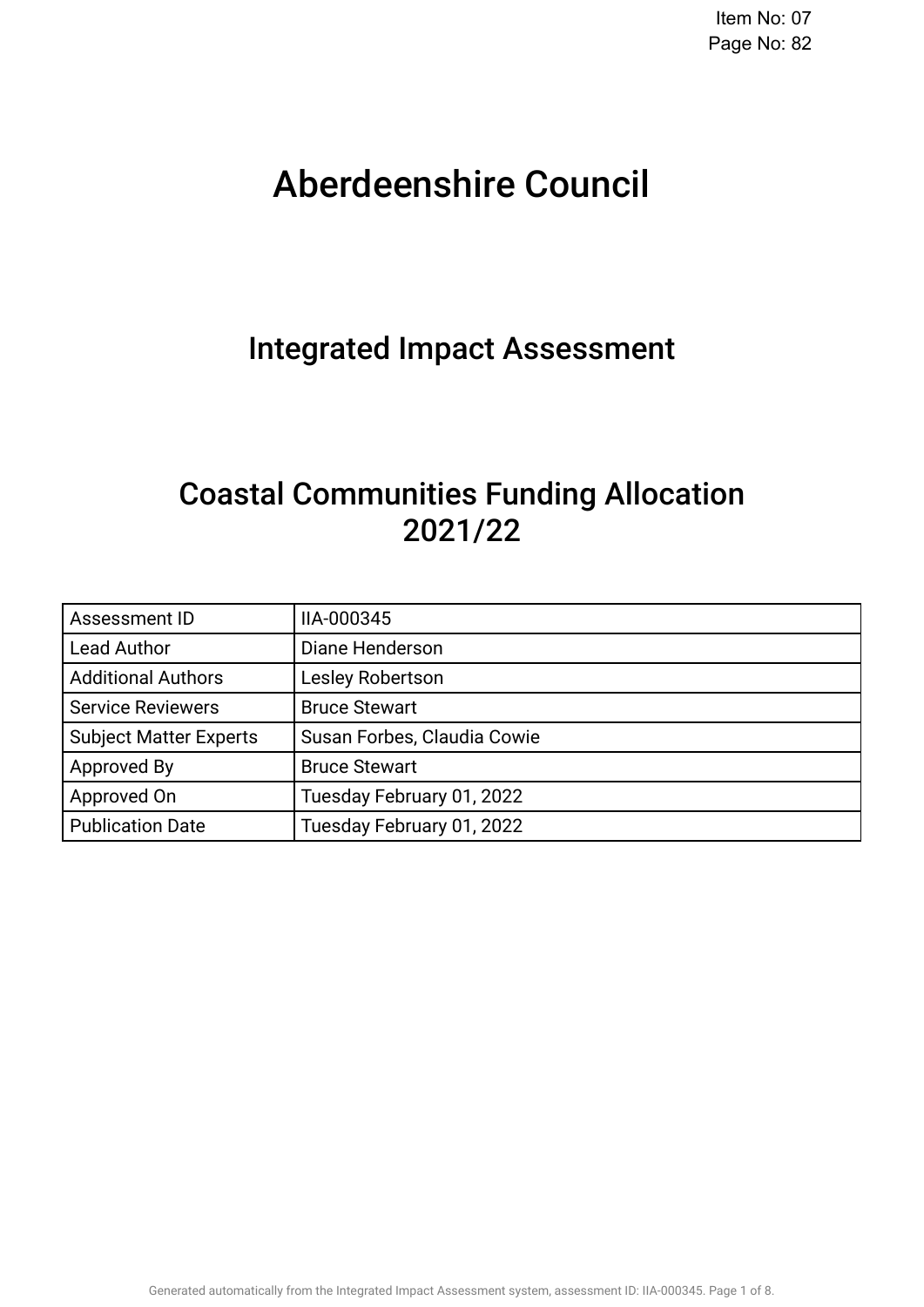# Aberdeenshire Council .

## Integrated Impact Assessment.

## Coastal Communities Funding Allocation 2021/22.

| Assessment ID                 | IIA-000345                  |
|-------------------------------|-----------------------------|
| <b>Lead Author</b>            | Diane Henderson             |
| <b>Additional Authors</b>     | Lesley Robertson            |
| <b>Service Reviewers</b>      | <b>Bruce Stewart</b>        |
| <b>Subject Matter Experts</b> | Susan Forbes, Claudia Cowie |
| Approved By                   | <b>Bruce Stewart</b>        |
| Approved On                   | Tuesday February 01, 2022   |
| <b>Publication Date</b>       | Tuesday February 01, 2022   |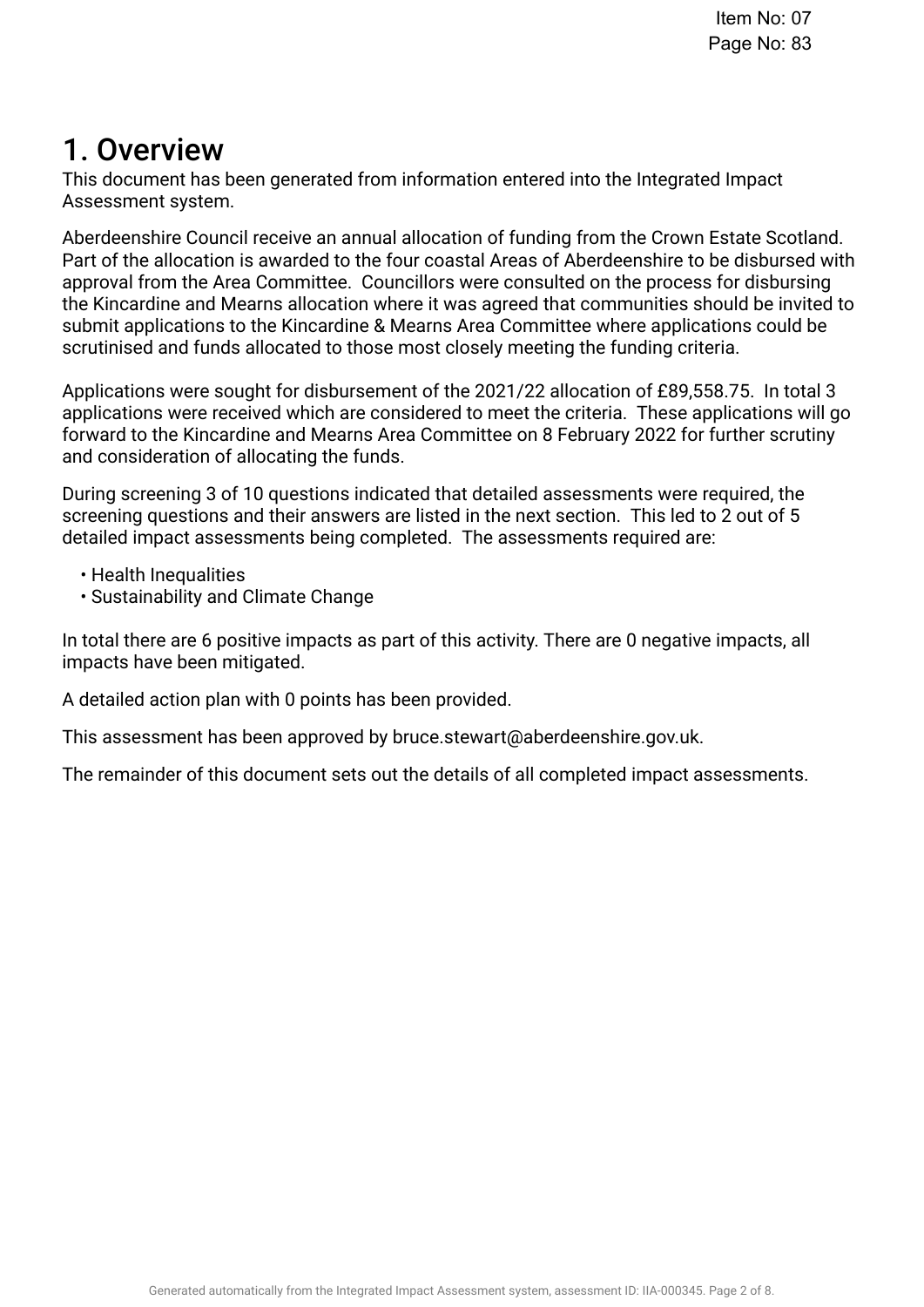## 1. Overview.

This document has been generated from information entered into the Integrated Impact Assessment system.

Aberdeenshire Council receive an annual allocation of funding from the Crown Estate Scotland. Part of the allocation is awarded to the four coastal Areas of Aberdeenshire to be disbursed with approval from the Area Committee. Councillors were consulted on the process for disbursing the Kincardine and Mearns allocation where it was agreed that communities should be invited to submit applications to the Kincardine & Mearns Area Committee where applications could be scrutinised and funds allocated to those most closely meeting the funding criteria.

Applications were sought for disbursement of the 2021/22 allocation of £89,558.75. In total 3 applications were received which are considered to meet the criteria. These applications will go forward to the Kincardine and Mearns Area Committee on 8 February 2022 for further scrutiny and consideration of allocating the funds.

During screening 3 of 10 questions indicated that detailed assessments were required, the screening questions and their answers are listed in the next section. This led to 2 out of 5 detailed impact assessments being completed. The assessments required are:

- Health Inequalities
- Sustainability and Climate Change

In total there are 6 positive impacts as part of this activity. There are 0 negative impacts, all impacts have been mitigated.

A detailed action plan with 0 points has been provided.

This assessment has been approved by bruce.stewart@aberdeenshire.gov.uk.

The remainder of this document sets out the details of all completed impact assessments.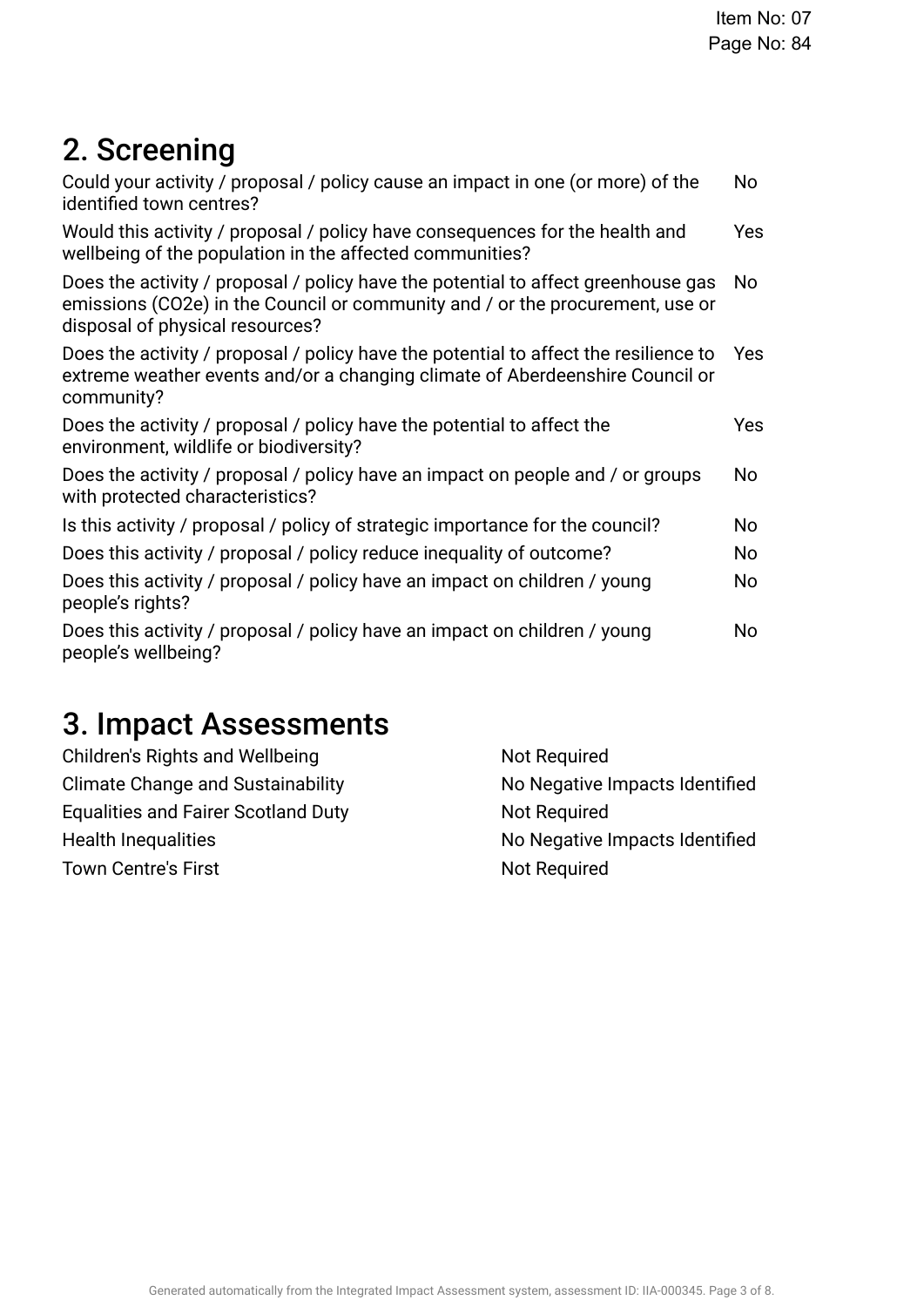## 2. Screening

| Could your activity / proposal / policy cause an impact in one (or more) of the<br>identified town centres?                                                                                           | No  |
|-------------------------------------------------------------------------------------------------------------------------------------------------------------------------------------------------------|-----|
| Would this activity / proposal / policy have consequences for the health and<br>wellbeing of the population in the affected communities?                                                              | Yes |
| Does the activity / proposal / policy have the potential to affect greenhouse gas<br>emissions (CO2e) in the Council or community and / or the procurement, use or<br>disposal of physical resources? | No. |
| Does the activity / proposal / policy have the potential to affect the resilience to<br>extreme weather events and/or a changing climate of Aberdeenshire Council or<br>community?                    | Yes |
| Does the activity / proposal / policy have the potential to affect the<br>environment, wildlife or biodiversity?                                                                                      | Yes |
| Does the activity / proposal / policy have an impact on people and / or groups<br>with protected characteristics?                                                                                     | No  |
| Is this activity / proposal / policy of strategic importance for the council?                                                                                                                         | No. |
| Does this activity / proposal / policy reduce inequality of outcome?                                                                                                                                  | No  |
| Does this activity / proposal / policy have an impact on children / young<br>people's rights?                                                                                                         | No  |
| Does this activity / proposal / policy have an impact on children / young<br>people's wellbeing?                                                                                                      | No. |
|                                                                                                                                                                                                       |     |

## 3. Impact Assessments

| <b>Children's Rights and Wellbeing</b>     | Not Required                   |
|--------------------------------------------|--------------------------------|
| <b>Climate Change and Sustainability</b>   | No Negative Impacts Identified |
| <b>Equalities and Fairer Scotland Duty</b> | Not Required                   |
| <b>Health Inequalities</b>                 | No Negative Impacts Identified |
| <b>Town Centre's First</b>                 | <b>Not Required</b>            |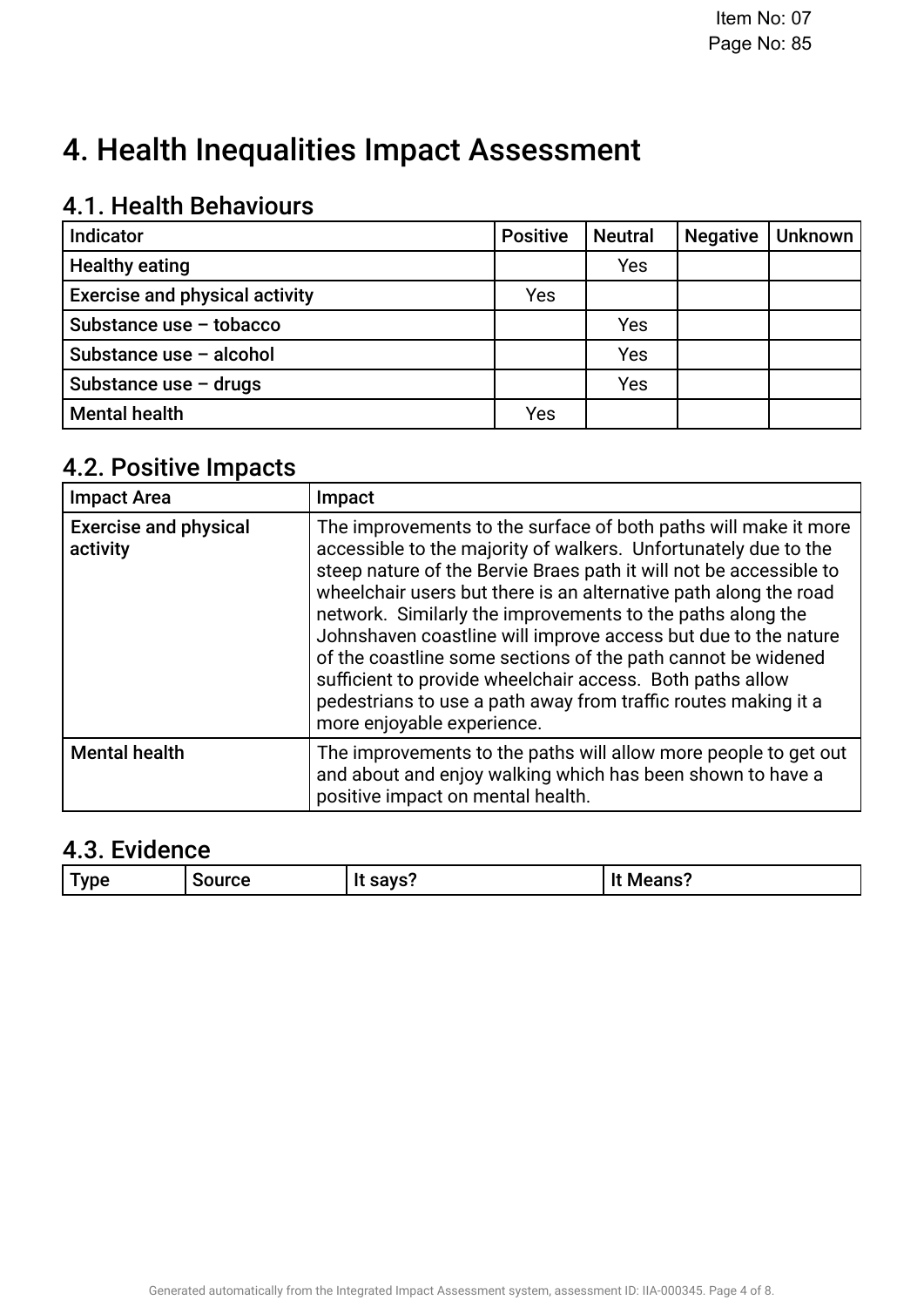## 4. Health Inequalities Impact Assessment

## 4.1. Health Behaviours

| <b>Indicator</b>                      | <b>Positive</b> | <b>Neutral</b> | <b>Negative</b> | <b>Unknown</b> |
|---------------------------------------|-----------------|----------------|-----------------|----------------|
| <b>Healthy eating</b>                 |                 | Yes            |                 |                |
| <b>Exercise and physical activity</b> | Yes             |                |                 |                |
| Substance use - tobacco               |                 | Yes            |                 |                |
| Substance use - alcohol               |                 | Yes            |                 |                |
| Substance use $-$ drugs               |                 | Yes            |                 |                |
| <b>Mental health</b>                  | Yes             |                |                 |                |

### 4.2. Positive Impacts

| <b>Impact Area</b>                       | Impact                                                                                                                                                                                                                                                                                                                                                                                                                                                                                                                                                                                                                                    |
|------------------------------------------|-------------------------------------------------------------------------------------------------------------------------------------------------------------------------------------------------------------------------------------------------------------------------------------------------------------------------------------------------------------------------------------------------------------------------------------------------------------------------------------------------------------------------------------------------------------------------------------------------------------------------------------------|
| <b>Exercise and physical</b><br>activity | The improvements to the surface of both paths will make it more<br>accessible to the majority of walkers. Unfortunately due to the<br>steep nature of the Bervie Braes path it will not be accessible to<br>wheelchair users but there is an alternative path along the road<br>network. Similarly the improvements to the paths along the<br>Johnshaven coastline will improve access but due to the nature<br>of the coastline some sections of the path cannot be widened<br>sufficient to provide wheelchair access. Both paths allow<br>pedestrians to use a path away from traffic routes making it a<br>more enjoyable experience. |
| <b>Mental health</b>                     | The improvements to the paths will allow more people to get out<br>and about and enjoy walking which has been shown to have a<br>positive impact on mental health.                                                                                                                                                                                                                                                                                                                                                                                                                                                                        |

## 4.3. Evidence

| $\sim$<br>--<br><b>Means?</b><br>0.010<br><b>v</b> ne<br><b>Illrce</b><br>$\sim$<br>_____ |  |  |  |  |
|-------------------------------------------------------------------------------------------|--|--|--|--|
|-------------------------------------------------------------------------------------------|--|--|--|--|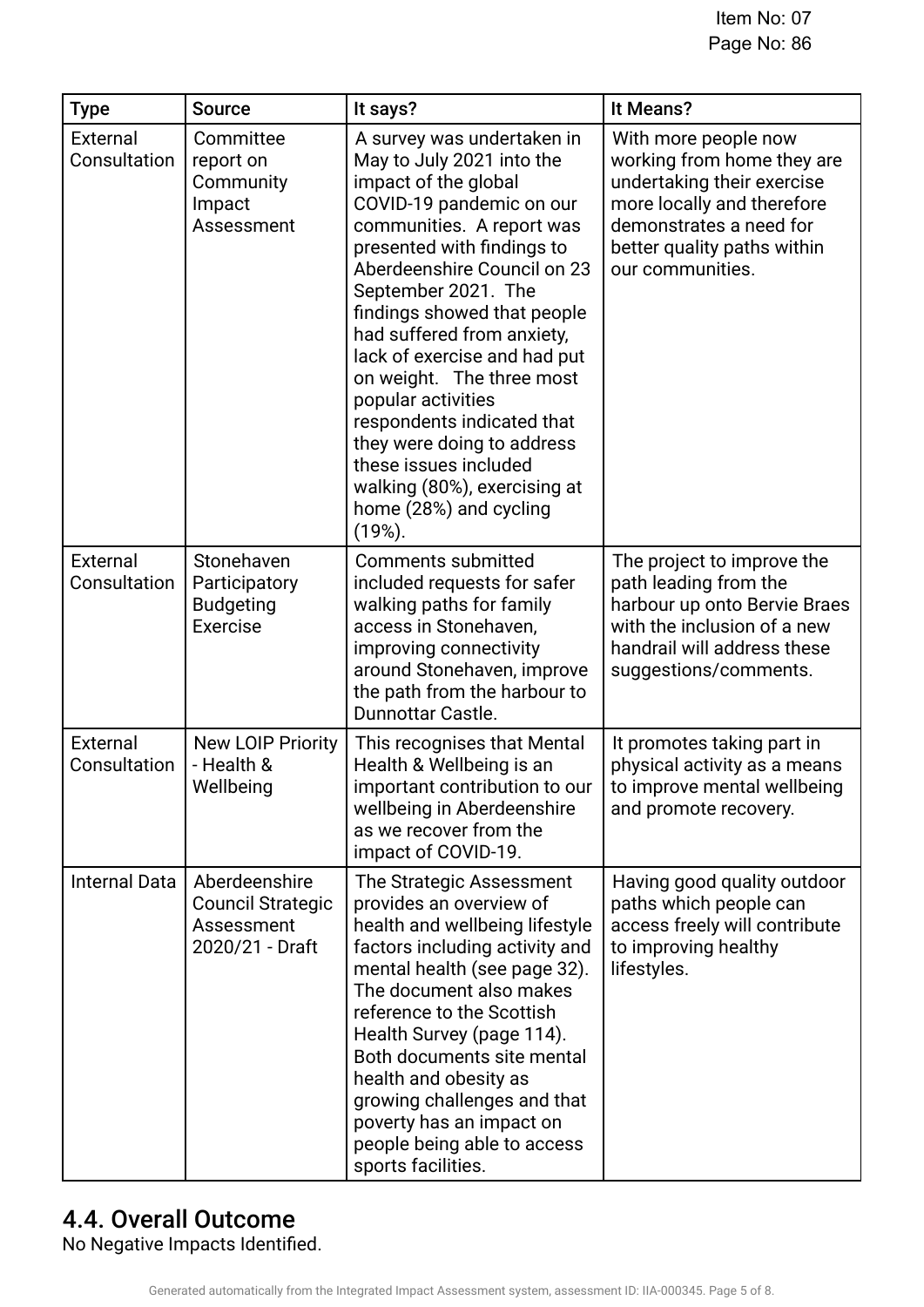| <b>Type</b>              | <b>Source</b>                                                              | It says?                                                                                                                                                                                                                                                                                                                                                                                                                                                                                                                                 | It Means?                                                                                                                                                                                    |
|--------------------------|----------------------------------------------------------------------------|------------------------------------------------------------------------------------------------------------------------------------------------------------------------------------------------------------------------------------------------------------------------------------------------------------------------------------------------------------------------------------------------------------------------------------------------------------------------------------------------------------------------------------------|----------------------------------------------------------------------------------------------------------------------------------------------------------------------------------------------|
| External<br>Consultation | Committee<br>report on<br>Community<br>Impact<br>Assessment                | A survey was undertaken in<br>May to July 2021 into the<br>impact of the global<br>COVID-19 pandemic on our<br>communities. A report was<br>presented with findings to<br>Aberdeenshire Council on 23<br>September 2021. The<br>findings showed that people<br>had suffered from anxiety,<br>lack of exercise and had put<br>on weight. The three most<br>popular activities<br>respondents indicated that<br>they were doing to address<br>these issues included<br>walking (80%), exercising at<br>home (28%) and cycling<br>$(19%)$ . | With more people now<br>working from home they are<br>undertaking their exercise<br>more locally and therefore<br>demonstrates a need for<br>better quality paths within<br>our communities. |
| External<br>Consultation | Stonehaven<br>Participatory<br><b>Budgeting</b><br>Exercise                | <b>Comments submitted</b><br>included requests for safer<br>walking paths for family<br>access in Stonehaven,<br>improving connectivity<br>around Stonehaven, improve<br>the path from the harbour to<br>Dunnottar Castle.                                                                                                                                                                                                                                                                                                               | The project to improve the<br>path leading from the<br>harbour up onto Bervie Braes<br>with the inclusion of a new<br>handrail will address these<br>suggestions/comments.                   |
| External<br>Consultation | <b>New LOIP Priority</b><br>- Health &<br>Wellbeing                        | This recognises that Mental<br>Health & Wellbeing is an<br>important contribution to our<br>wellbeing in Aberdeenshire<br>as we recover from the<br>impact of COVID-19.                                                                                                                                                                                                                                                                                                                                                                  | It promotes taking part in<br>physical activity as a means<br>to improve mental wellbeing<br>and promote recovery.                                                                           |
| <b>Internal Data</b>     | Aberdeenshire<br><b>Council Strategic</b><br>Assessment<br>2020/21 - Draft | The Strategic Assessment<br>provides an overview of<br>health and wellbeing lifestyle<br>factors including activity and<br>mental health (see page 32).<br>The document also makes<br>reference to the Scottish<br>Health Survey (page 114).<br>Both documents site mental<br>health and obesity as<br>growing challenges and that<br>poverty has an impact on<br>people being able to access<br>sports facilities.                                                                                                                      | Having good quality outdoor<br>paths which people can<br>access freely will contribute<br>to improving healthy<br>lifestyles.                                                                |

## 4.4. Overall Outcome

No Negative Impacts Identifed.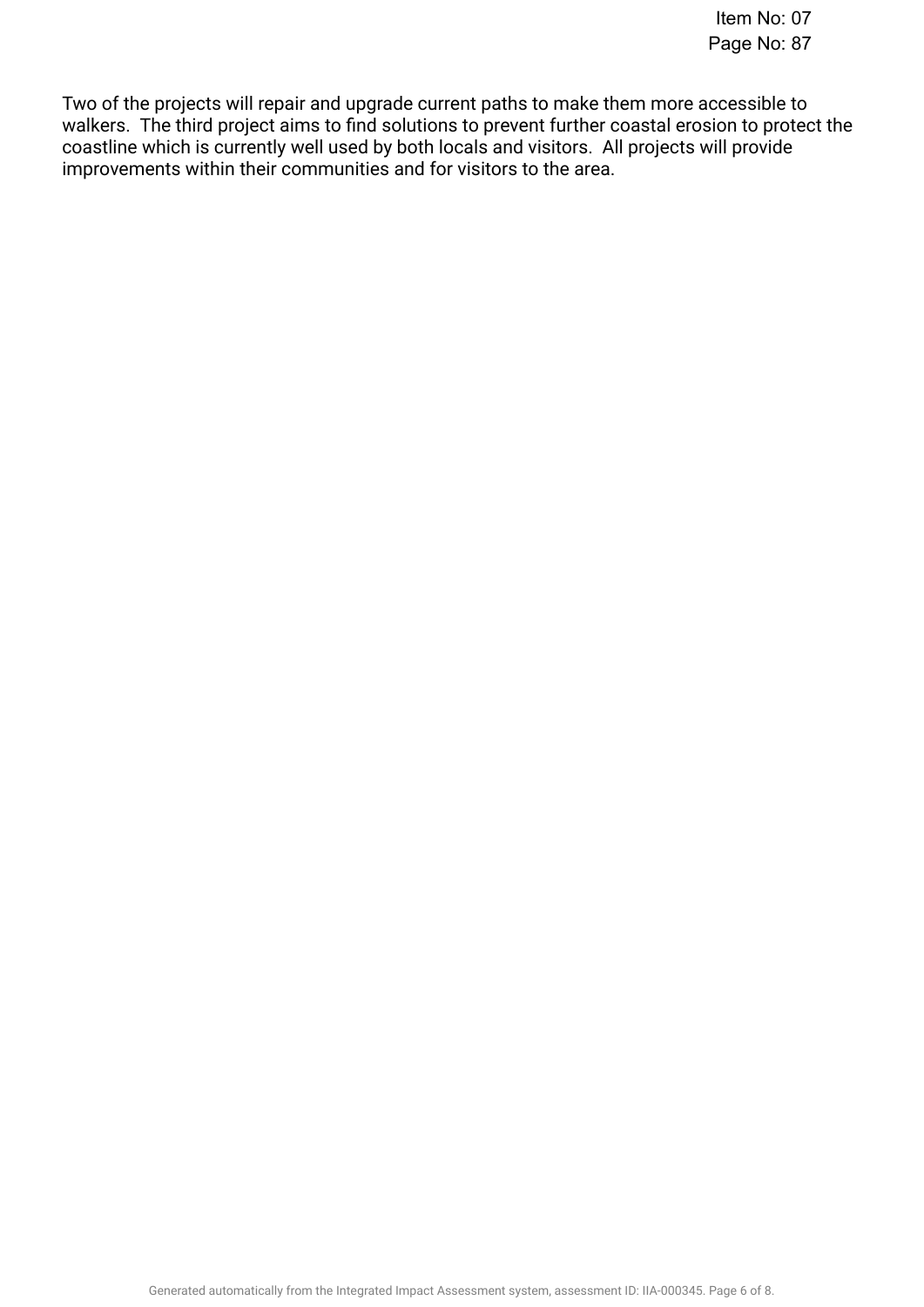Two of the projects will repair and upgrade current paths to make them more accessible to walkers. The third project aims to fnd solutions to prevent further coastal erosion to protect the coastline which is currently well used by both locals and visitors. All projects will provide improvements within their communities and for visitors to the area.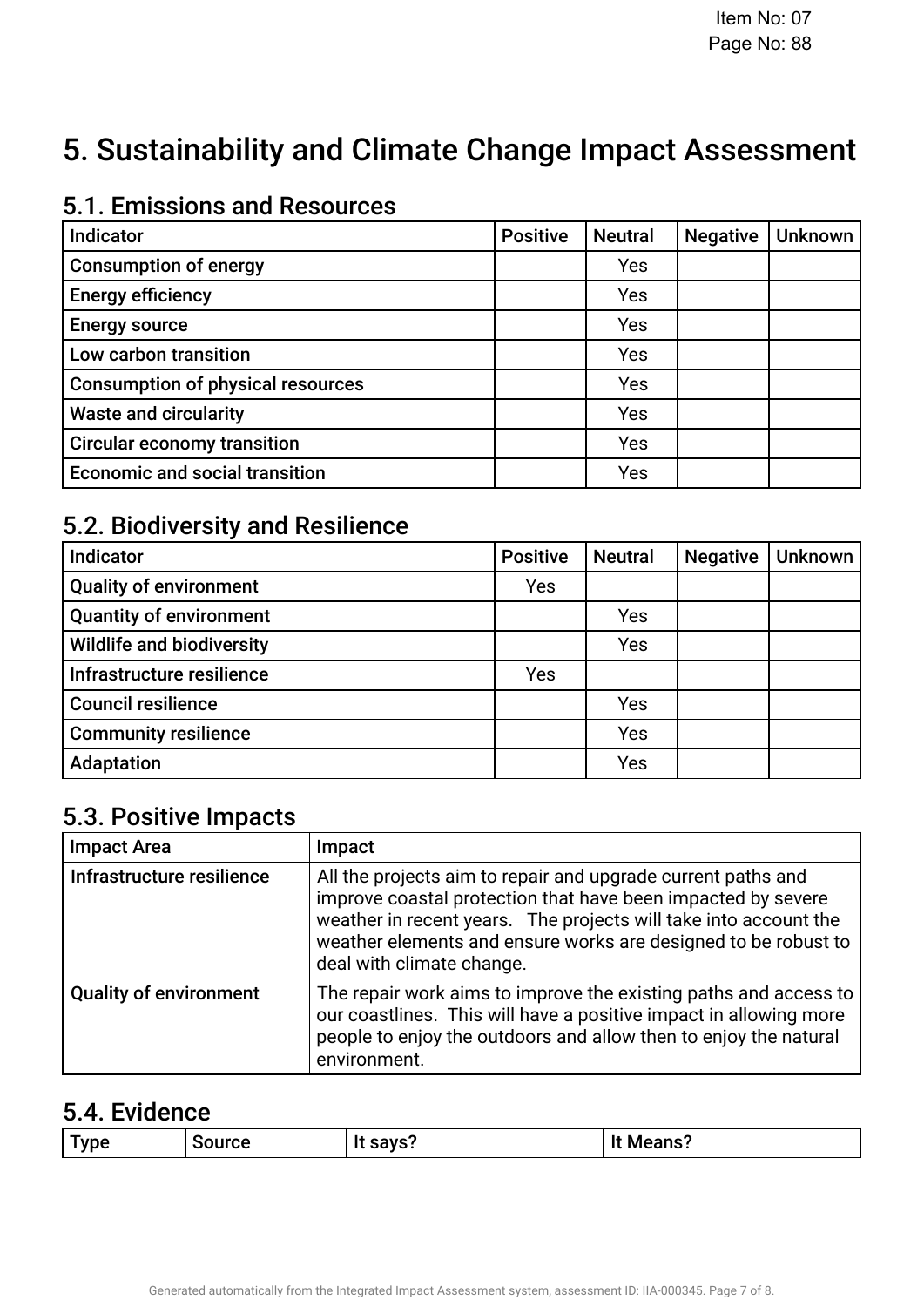## 5. Sustainability and Climate Change Impact Assessment

#### Indicator. Positive. Neutral . Negative. Unknown. Consumption of energy, Yes Consumption of energy, negative, No. Consumption of energy, unknown, No. Energy efficiency Yes Energy efciency, negative, No. Energy efciency, unknown, No. Energy source, Yes Energy source, negative, No. Energy source, unknown, No. Low carbon transition, Yes Low carbon transition, negative, No. Low carbon transition, unknown, No. Consumption of physical resources, Yes Consumption of physical resources, negative, No. Consumption of physical resources, unknown, No. Waste and circularity, Yes Waste and circularity, negative, No. Waste and circularity, unknown, No. Circular economy transition, Yes Circular economy transition, negative, No. Circular economy transition, unknown, No. Economic and social transition, Yes Economic and social transition, negative, No. Economic and social transition, unknown, No.

### 5.1. Emissions and Resources

### 5.2. Biodiversity and Resilience

| <b>Indicator</b>                 | <b>Positive</b> | <b>Neutral</b> | <b>Negative</b> | <b>Unknown</b> |
|----------------------------------|-----------------|----------------|-----------------|----------------|
| <b>Quality of environment</b>    | <b>Yes</b>      |                |                 |                |
| <b>Quantity of environment</b>   |                 | Yes            |                 |                |
| <b>Wildlife and biodiversity</b> |                 | Yes            |                 |                |
| Infrastructure resilience        | Yes             |                |                 |                |
| <b>Council resilience</b>        |                 | Yes            |                 |                |
| <b>Community resilience</b>      |                 | Yes            |                 |                |
| Adaptation                       |                 | Yes            |                 |                |

### 5.3. Positive Impacts

| <b>Impact Area</b>            | Impact                                                                                                                                                                                                                                                                                          |
|-------------------------------|-------------------------------------------------------------------------------------------------------------------------------------------------------------------------------------------------------------------------------------------------------------------------------------------------|
| Infrastructure resilience     | All the projects aim to repair and upgrade current paths and<br>improve coastal protection that have been impacted by severe<br>weather in recent years. The projects will take into account the<br>weather elements and ensure works are designed to be robust to<br>deal with climate change. |
| <b>Quality of environment</b> | The repair work aims to improve the existing paths and access to<br>our coastlines. This will have a positive impact in allowing more<br>people to enjoy the outdoors and allow then to enjoy the natural<br>environment.                                                                       |

### 5.4. Evidence

| . savs?<br><b>vne</b><br>Source<br> | . . |  |  | Means? |
|-------------------------------------|-----|--|--|--------|
|-------------------------------------|-----|--|--|--------|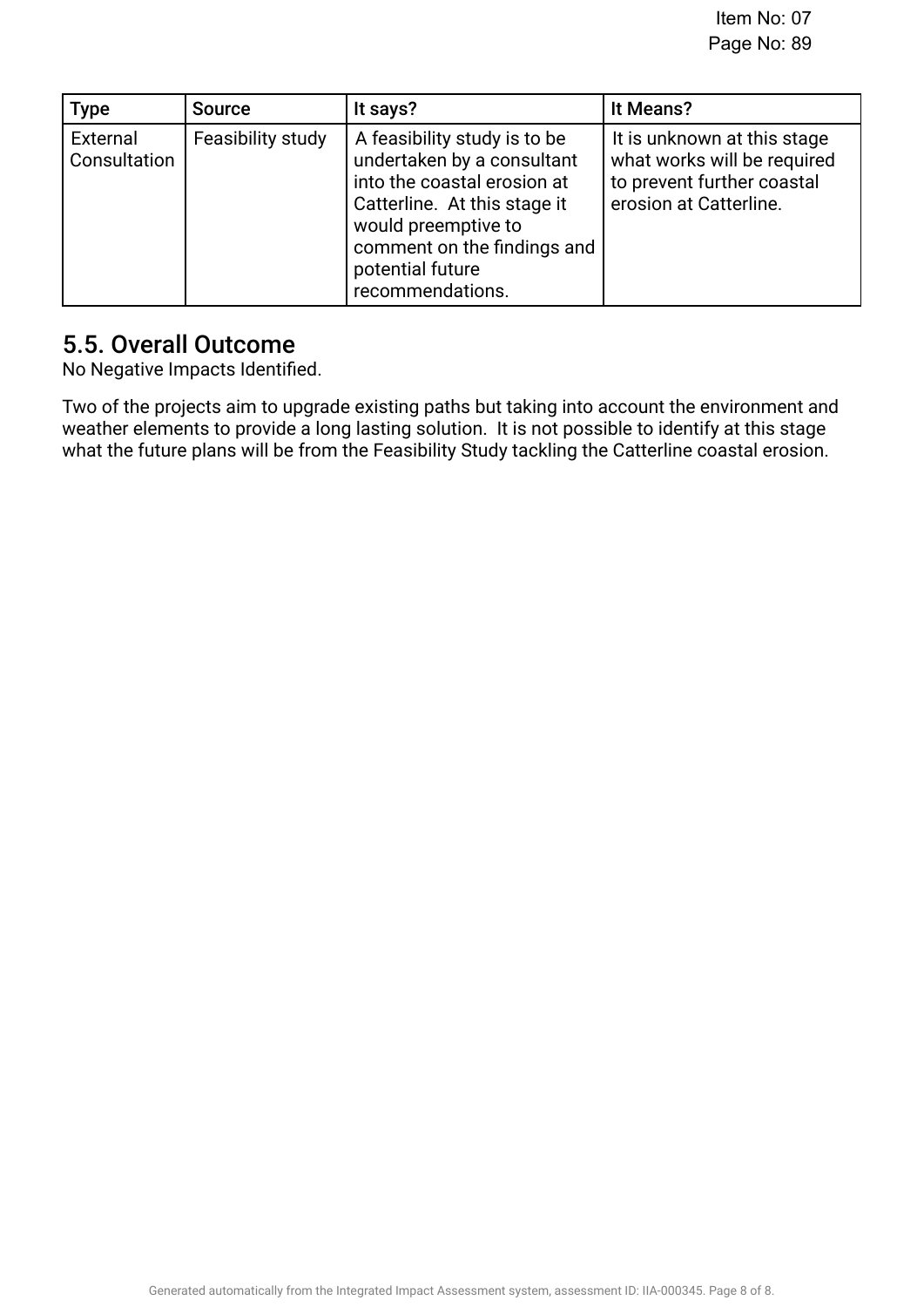| <b>Type</b>              | <b>Source</b>     | It says?                                                                                                                                                                                                                | It Means?                                                                                                          |
|--------------------------|-------------------|-------------------------------------------------------------------------------------------------------------------------------------------------------------------------------------------------------------------------|--------------------------------------------------------------------------------------------------------------------|
| External<br>Consultation | Feasibility study | A feasibility study is to be<br>undertaken by a consultant<br>into the coastal erosion at<br>Catterline. At this stage it<br>would preemptive to<br>comment on the findings and<br>potential future<br>recommendations. | It is unknown at this stage<br>what works will be required<br>to prevent further coastal<br>erosion at Catterline. |

### 5.5. Overall Outcome.

No Negative Impacts Identifed.

Two of the projects aim to upgrade existing paths but taking into account the environment and weather elements to provide a long lasting solution. It is not possible to identify at this stage what the future plans will be from the Feasibility Study tackling the Catterline coastal erosion.